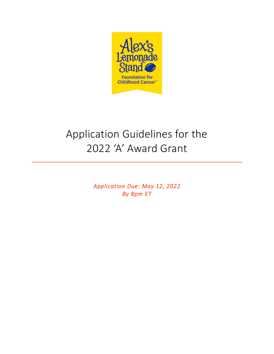

# Application Guidelines for the 2022 'A' Award Grant

*Application Due: May 12, 2022 By 8pm ET*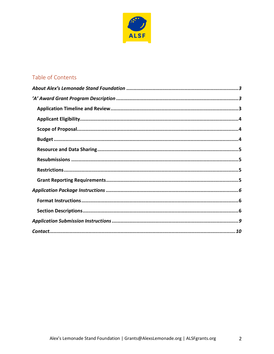

# Table of Contents

 $\overline{2}$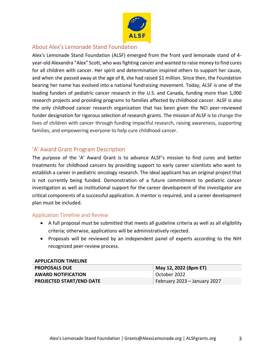

## <span id="page-2-0"></span>About Alex's Lemonade Stand Foundation

Alex's Lemonade Stand Foundation (ALSF) emerged from the front yard lemonade stand of 4 year-old Alexandra "Alex" Scott, who was fighting cancer and wanted to raise money to find cures for all children with cancer. Her spirit and determination inspired others to support her cause, and when she passed away at the age of 8, she had raised \$1 million. Since then, the Foundation bearing her name has evolved into a national fundraising movement. Today, ALSF is one of the leading funders of pediatric cancer research in the U.S. and Canada, funding more than 1,000 research projects and providing programs to families affected by childhood cancer. ALSF is also the only childhood cancer research organization that has been given the NCI peer-reviewed funder designation for rigorous selection of research grants. The mission of ALSF is to change the lives of children with cancer through funding impactful research, raising awareness, supporting families, and empowering everyone to help cure childhood cancer.

## <span id="page-2-1"></span>'A' Award Grant Program Description

The purpose of the 'A' Award Grant is to advance ALSF's mission to find cures and better treatments for childhood cancers by providing support to early career scientists who want to establish a career in pediatric oncology research. The ideal applicant has an original project that is not currently being funded. Demonstration of a future commitment to pediatric cancer investigation as well as institutional support for the career development of the investigator are critical components of a successful application. A mentor is required, and a career development plan must be included.

## <span id="page-2-2"></span>Application Timeline and Review

- A full proposal must be submitted that meets all guideline criteria as well as all eligibility criteria; otherwise, applications will be administratively rejected.
- Proposals will be reviewed by an independent panel of experts according to the NIH recognized peer-review process.

#### **APPLICATION TIMELINE**

| <b>PROPOSALS DUE</b>            | May 12, 2022 (8pm ET)        |
|---------------------------------|------------------------------|
| <b>AWARD NOTIFICATION</b>       | October 2022                 |
| <b>PROJECTED START/END DATE</b> | February 2023 – January 2027 |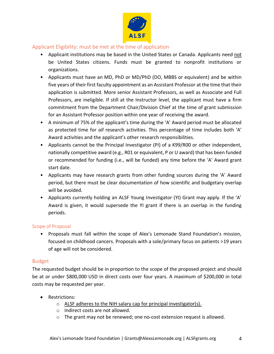

### <span id="page-3-0"></span>Applicant Eligibility: must be met at the time of application

- Applicant institutions may be based in the United States or Canada. Applicants need not be United States citizens. Funds must be granted to nonprofit institutions or organizations.
- Applicants must have an MD, PhD or MD/PhD (DO, MBBS or equivalent) and be within five years of their first faculty appointment as an Assistant Professor at the time that their application is submitted. More senior Assistant Professors, as well as Associate and Full Professors, are ineligible. If still at the Instructor level, the applicant must have a firm commitment from the Department Chair/Division Chief at the time of grant submission for an Assistant Professor position within one year of receiving the award.
- A minimum of 75% of the applicant's time during the 'A' Award period must be allocated as protected time for *all* research activities. This percentage of time includes both 'A' Award activities and the applicant's other research responsibilities.
- Applicants cannot be the Principal Investigator (PI) of a K99/R00 or other independent, nationally competitive award (e.g., R01 or equivalent, P or U award) that has been funded or recommended for funding (i.e., will be funded) any time before the 'A' Award grant start date.
- Applicants may have research grants from other funding sources during the 'A' Award period, but there must be clear documentation of how scientific and budgetary overlap will be avoided.
- Applicants currently holding an ALSF Young Investigator (YI) Grant may apply. If the 'A' Award is given, it would supersede the YI grant if there is an overlap in the funding periods.

#### <span id="page-3-1"></span>Scope of Proposal

• Proposals must fall within the scope of Alex's Lemonade Stand Foundation's mission, focused on childhood cancers. Proposals with a sole/primary focus on patients >19 years of age will not be considered.

#### <span id="page-3-2"></span>Budget

The requested budget should be in proportion to the scope of the proposed project and should be at or under \$800,000 USD in direct costs over four years. A maximum of \$200,000 in total costs may be requested per year.

- Restrictions:
	- o ALSF adheres to the NIH salary cap for principal investigator(s).
	- o Indirect costs are not allowed.
	- o The grant may not be renewed; one no-cost extension request is allowed.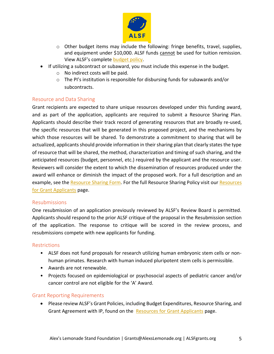

- o Other budget items may include the following: fringe benefits, travel, supplies, and equipment under \$10,000. ALSF funds cannot be used for tuition remission. View ALSF's complete [budget policy.](https://www.alexslemonade.org/researchers-reviewers/applicants#resources)
- If utilizing a subcontract or subaward, you must include this expense in the budget.
	- o No indirect costs will be paid.
	- o The PI's institution is responsible for disbursing funds for subawards and/or subcontracts.

## <span id="page-4-0"></span>Resource and Data Sharing

Grant recipients are expected to share unique resources developed under this funding award, and as part of the application, applicants are required to submit a Resource Sharing Plan. Applicants should describe their track record of generating resources that are broadly re-used, the specific resources that will be generated in this proposed project, and the mechanisms by which those resources will be shared. To demonstrate a commitment to sharing that will be actualized, applicants should provide information in their sharing plan that clearly states the type of resource that will be shared, the method, characterization and timing of such sharing, and the anticipated resources (budget, personnel, etc.) required by the applicant and the resource user. Reviewers will consider the extent to which the dissemination of resources produced under the award will enhance or diminish the impact of the proposed work. For a full description and an example, see the [Resource Sharing Form.](https://www.alexslemonade.org/sites/default/files/resource_sharing_form_all_grants_final_11.25.19.docx) For the full Resource Sharing Policy visit our [Resources](https://www.alexslemonade.org/researchers-reviewers/applicants)  [for Grant Applicants](https://www.alexslemonade.org/researchers-reviewers/applicants) page.

#### <span id="page-4-1"></span>Resubmissions

One resubmission of an application previously reviewed by ALSF's Review Board is permitted. Applicants should respond to the prior ALSF critique of the proposal in the Resubmission section of the application. The response to critique will be scored in the review process, and resubmissions compete with new applicants for funding.

#### <span id="page-4-2"></span>Restrictions

- ALSF does not fund proposals for research utilizing human embryonic stem cells or nonhuman primates. Research with human induced pluripotent stem cells is permissible.
- Awards are not renewable.
- Projects focused on epidemiological or psychosocial aspects of pediatric cancer and/or cancer control are not eligible for the 'A' Award.

#### <span id="page-4-3"></span>Grant Reporting Requirements

• Please review ALSF's Grant Policies, including Budget Expenditures, Resource Sharing, and Grant Agreement with IP, found on the [Resources for Grant Applicants](https://www.alexslemonade.org/researchers-reviewers/applicants#resources) page.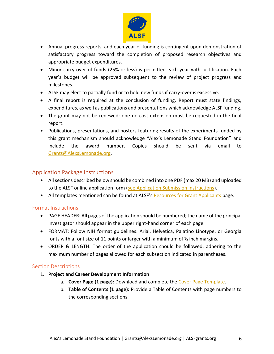

- Annual progress reports, and each year of funding is contingent upon demonstration of satisfactory progress toward the completion of proposed research objectives and appropriate budget expenditures.
- Minor carry-over of funds (25% or less) is permitted each year with justification. Each year's budget will be approved subsequent to the review of project progress and milestones.
- ALSF may elect to partially fund or to hold new funds if carry-over is excessive.
- A final report is required at the conclusion of funding. Report must state findings, expenditures, as well as publications and presentations which acknowledge ALSF funding.
- The grant may not be renewed; one no-cost extension must be requested in the final report.
- Publications, presentations, and posters featuring results of the experiments funded by this grant mechanism should acknowledge "Alex's Lemonade Stand Foundation" and include the award number. Copies should be sent via email to [Grants@AlexsLemonade.org.](mailto:Grants@AlexsLemonade.org)

## <span id="page-5-0"></span>Application Package Instructions

- All sections described below should be combined into one PDF (max 20 MB) and uploaded to the ALSF online application form [\(see Application Submission Instructions\)](#page-8-0).
- All templates mentioned can be found at ALSF's [Resources for Grant Applicants](https://www.alexslemonade.org/researchers-reviewers/applicants#resources) page.

#### <span id="page-5-1"></span>Format Instructions

- PAGE HEADER: All pages of the application should be numbered; the name of the principal investigator should appear in the upper right-hand corner of each page.
- FORMAT: Follow NIH format guidelines: Arial, Helvetica, Palatino Linotype, or Georgia fonts with a font size of 11 points or larger with a minimum of  $\frac{1}{2}$  inch margins.
- ORDER & LENGTH: The order of the application should be followed, adhering to the maximum number of pages allowed for each subsection indicated in parentheses.

#### <span id="page-5-2"></span>Section Descriptions

- 1. **Project and Career Development Information**
	- a. **Cover Page (1 page):** Download and complete the [Cover Page Template.](https://www.alexslemonade.org/sites/default/files/images/2020/alsf_application_cover_page_20201.docx)
	- b. **Table of Contents (1 page):** Provide a Table of Contents with page numbers to the corresponding sections.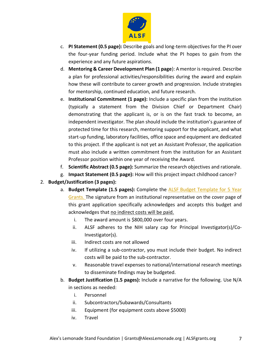

- c. **PI Statement (0.5 page):** Describe goals and long-term objectives for the PI over the four-year funding period. Include what the PI hopes to gain from the experience and any future aspirations.
- d. **Mentoring & Career Development Plan (1 page**): A mentor is required. Describe a plan for professional activities/responsibilities during the award and explain how these will contribute to career growth and progression. Include strategies for mentorship, continued education, and future research.
- e. **Institutional Commitment (1 page):** Include a specific plan from the institution (typically a statement from the Division Chief or Department Chair) demonstrating that the applicant is, or is on the fast track to become, an independent investigator. The plan should include the institution's guarantee of protected time for this research, mentoring support for the applicant, and what start-up funding, laboratory facilities, office space and equipment are dedicated to this project. If the applicant is not yet an Assistant Professor, the application must also include a written commitment from the institution for an Assistant Professor position within one year of receiving the Award.
- f. **Scientific Abstract (0.5 page):** Summarize the research objectives and rationale.
- g. **Impact Statement (0.5 page):** How will this project impact childhood cancer?

#### 2. **Budget/Justification (3 pages):**

- a. **Budget Template (1.5 pages):** Complete the [ALSF Budget Template for 5 Year](https://www.alexslemonade.org/sites/default/files/images/2020/alsf_5_year_budget_report_with_instructions_.xlsx)  [Grants.](https://www.alexslemonade.org/sites/default/files/images/2020/alsf_5_year_budget_report_with_instructions_.xlsx) The signature from an institutional representative on the cover page of this grant application specifically acknowledges and accepts this budget and acknowledges that no indirect costs will be paid.
	- i. The award amount is \$800,000 over four years.
	- ii. ALSF adheres to the NIH salary cap for Principal Investigator(s)/Co-Investigator(s).
	- iii. Indirect costs are not allowed
	- iv. If utilizing a sub-contractor, you must include their budget. No indirect costs will be paid to the sub-contractor.
	- v. Reasonable travel expenses to national/international research meetings to disseminate findings may be budgeted.
- b. **Budget Justification (1.5 pages):** Include a narrative for the following. Use N/A in sections as needed:
	- i. Personnel
	- ii. Subcontractors/Subawards/Consultants
	- iii. Equipment (for equipment costs above \$5000)
	- iv. Travel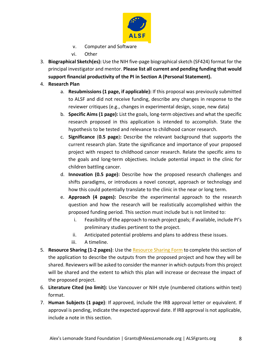

- v. Computer and Software
- vi. Other
- 3. **Biographical Sketch(es):** Use the NIH five-page biographical sketch (SF424) format for the principal investigator and mentor. **Please list all current and pending funding that would support financial productivity of the PI in Section A (Personal Statement).**
- 4. **Research Plan**
	- a. **Resubmissions (1 page, if applicable):** If this proposal was previously submitted to ALSF and did not receive funding, describe any changes in response to the reviewer critiques (e.g., changes in experimental design, scope, new data)
	- b. **Specific Aims (1 page):** List the goals, long-term objectives and what the specific research proposed in this application is intended to accomplish. State the hypothesis to be tested and relevance to childhood cancer research.
	- c. **Significance** (**0.5 page**)**:** Describe the relevant background that supports the current research plan. State the significance and importance of your proposed project with respect to childhood cancer research. Relate the specific aims to the goals and long-term objectives. Include potential impact in the clinic for children battling cancer.
	- d. **Innovation (0.5 page):** Describe how the proposed research challenges and shifts paradigms, or introduces a novel concept, approach or technology and how this could potentially translate to the clinic in the near or long term.
	- e. **Approach (4 pages):** Describe the experimental approach to the research question and how the research will be realistically accomplished within the proposed funding period. This section must include but is not limited to:
		- i. Feasibility of the approach to reach project goals; if available, include PI's preliminary studies pertinent to the project.
		- ii. Anticipated potential problems and plans to address these issues.
		- iii. A timeline.
- 5. **Resource Sharing (1-2 pages)**: Use th[e Resource Sharing Form](https://www.alexslemonade.org/sites/default/files/resource_sharing_form_all_grants_final_11.25.19.docx) to complete this section of the application to describe the outputs from the proposed project and how they will be shared. Reviewers will be asked to consider the manner in which outputs from this project will be shared and the extent to which this plan will increase or decrease the impact of the proposed project.
- 6. **Literature Cited (no limit):** Use Vancouver or NIH style (numbered citations within text) format.
- 7. **Human Subjects (1 page)**: If approved, include the IRB approval letter or equivalent. If approval is pending, indicate the expected approval date. If IRB approval is not applicable, include a note in this section.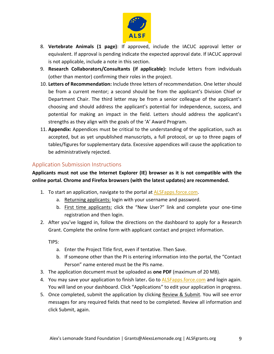

- 8. **Vertebrate Animals (1 page)**: If approved, include the IACUC approval letter or equivalent. If approval is pending indicate the expected approval date. If IACUC approval is not applicable, include a note in this section.
- 9. **Research Collaborators/Consultants (if applicable):** Include letters from individuals (other than mentor) confirming their roles in the project.
- 10. **Letters of Recommendation:** Include three letters of recommendation. One letter should be from a current mentor; a second should be from the applicant's Division Chief or Department Chair. The third letter may be from a senior colleague of the applicant's choosing and should address the applicant's potential for independence, success, and potential for making an impact in the field. Letters should address the applicant's strengths as they align with the goals of the 'A' Award Program.
- 11. **Appendix:** Appendices must be critical to the understanding of the application, such as accepted, but as yet unpublished manuscripts, a full protocol, or up to three pages of tables/figures for supplementary data. Excessive appendices will cause the application to be administratively rejected.

## <span id="page-8-0"></span>Application Submission Instructions

**Applicants must not use the Internet Explorer (IE) browser as it is not compatible with the online portal. Chrome and Firefox browsers (with the latest updates) are recommended.**

- 1. To start an application, navigate to the portal at [ALSFapps.force.com.](https://alsfapps.force.com/)
	- a. Returning applicants: login with your username and password.
	- b. First time applicants: click the "New User?" link and complete your one-time registration and then login.
- 2. After you've logged in, follow the directions on the dashboard to apply for a Research Grant. Complete the online form with applicant contact and project information.

TIPS:

- a. Enter the Project Title first, even if tentative. Then Save.
- b. If someone other than the PI is entering information into the portal, the "Contact Person" name entered must be the PIs name.
- 3. The application document must be uploaded as **one PDF** (maximum of 20 MB).
- 4. You may save your application to finish later**.** Go to [ALSFapps.force.com](https://alsfapps.force.com/) and login again. You will land on your dashboard. Click "Applications" to edit your application in progress.
- 5. Once completed, submit the application by clicking Review & Submit. You will see error messages for any required fields that need to be completed. Review all information and click Submit, again.